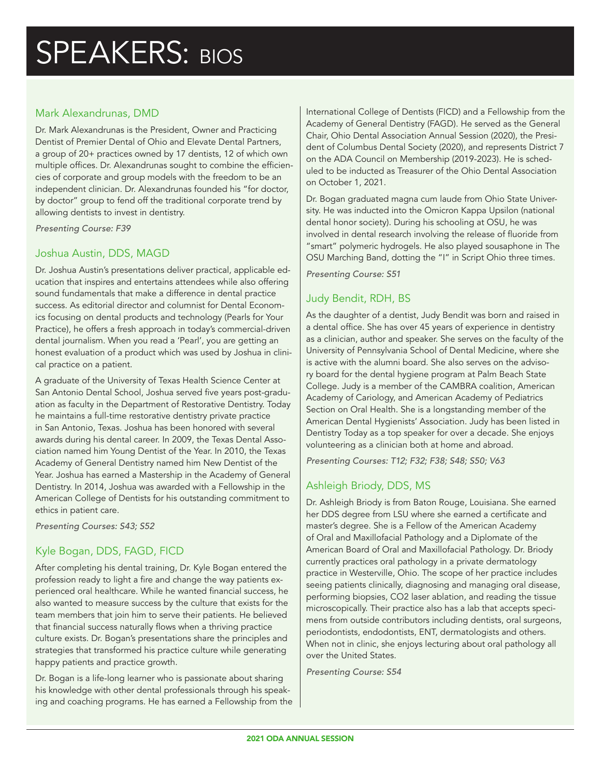### Mark Alexandrunas, DMD

Dr. Mark Alexandrunas is the President, Owner and Practicing Dentist of Premier Dental of Ohio and Elevate Dental Partners, a group of 20+ practices owned by 17 dentists, 12 of which own multiple offices. Dr. Alexandrunas sought to combine the efficiencies of corporate and group models with the freedom to be an independent clinician. Dr. Alexandrunas founded his "for doctor, by doctor" group to fend off the traditional corporate trend by allowing dentists to invest in dentistry.

*Presenting Course: F39*

### Joshua Austin, DDS, MAGD

Dr. Joshua Austin's presentations deliver practical, applicable education that inspires and entertains attendees while also offering sound fundamentals that make a difference in dental practice success. As editorial director and columnist for Dental Economics focusing on dental products and technology (Pearls for Your Practice), he offers a fresh approach in today's commercial-driven dental journalism. When you read a 'Pearl', you are getting an honest evaluation of a product which was used by Joshua in clinical practice on a patient.

A graduate of the University of Texas Health Science Center at San Antonio Dental School, Joshua served five years post-graduation as faculty in the Department of Restorative Dentistry. Today he maintains a full-time restorative dentistry private practice in San Antonio, Texas. Joshua has been honored with several awards during his dental career. In 2009, the Texas Dental Association named him Young Dentist of the Year. In 2010, the Texas Academy of General Dentistry named him New Dentist of the Year. Joshua has earned a Mastership in the Academy of General Dentistry. In 2014, Joshua was awarded with a Fellowship in the American College of Dentists for his outstanding commitment to ethics in patient care.

*Presenting Courses: S43; S52*

# Kyle Bogan, DDS, FAGD, FICD

After completing his dental training, Dr. Kyle Bogan entered the profession ready to light a fire and change the way patients experienced oral healthcare. While he wanted financial success, he also wanted to measure success by the culture that exists for the team members that join him to serve their patients. He believed that financial success naturally flows when a thriving practice culture exists. Dr. Bogan's presentations share the principles and strategies that transformed his practice culture while generating happy patients and practice growth.

Dr. Bogan is a life-long learner who is passionate about sharing his knowledge with other dental professionals through his speaking and coaching programs. He has earned a Fellowship from the

International College of Dentists (FICD) and a Fellowship from the Academy of General Dentistry (FAGD). He served as the General Chair, Ohio Dental Association Annual Session (2020), the President of Columbus Dental Society (2020), and represents District 7 on the ADA Council on Membership (2019-2023). He is scheduled to be inducted as Treasurer of the Ohio Dental Association on October 1, 2021.

Dr. Bogan graduated magna cum laude from Ohio State University. He was inducted into the Omicron Kappa Upsilon (national dental honor society). During his schooling at OSU, he was involved in dental research involving the release of fluoride from "smart" polymeric hydrogels. He also played sousaphone in The OSU Marching Band, dotting the "I" in Script Ohio three times.

*Presenting Course: S51*

### Judy Bendit, RDH, BS

As the daughter of a dentist, Judy Bendit was born and raised in a dental office. She has over 45 years of experience in dentistry as a clinician, author and speaker. She serves on the faculty of the University of Pennsylvania School of Dental Medicine, where she is active with the alumni board. She also serves on the advisory board for the dental hygiene program at Palm Beach State College. Judy is a member of the CAMBRA coalition, American Academy of Cariology, and American Academy of Pediatrics Section on Oral Health. She is a longstanding member of the American Dental Hygienists' Association. Judy has been listed in Dentistry Today as a top speaker for over a decade. She enjoys volunteering as a clinician both at home and abroad.

*Presenting Courses: T12; F32; F38; S48; S50; V63*

# Ashleigh Briody, DDS, MS

Dr. Ashleigh Briody is from Baton Rouge, Louisiana. She earned her DDS degree from LSU where she earned a certificate and master's degree. She is a Fellow of the American Academy of Oral and Maxillofacial Pathology and a Diplomate of the American Board of Oral and Maxillofacial Pathology. Dr. Briody currently practices oral pathology in a private dermatology practice in Westerville, Ohio. The scope of her practice includes seeing patients clinically, diagnosing and managing oral disease, performing biopsies, CO2 laser ablation, and reading the tissue microscopically. Their practice also has a lab that accepts specimens from outside contributors including dentists, oral surgeons, periodontists, endodontists, ENT, dermatologists and others. When not in clinic, she enjoys lecturing about oral pathology all over the United States.

*Presenting Course: S54*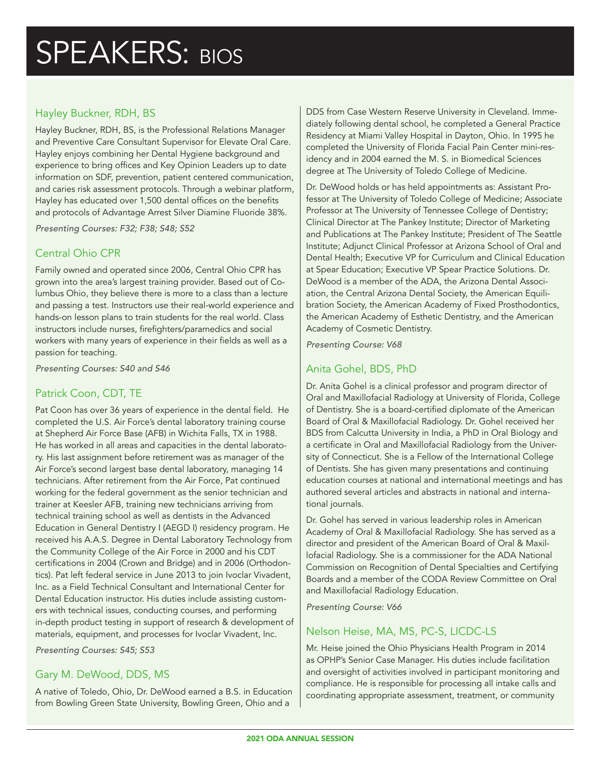# Hayley Buckner, RDH, BS

Hayley Buckner, RDH, BS, is the Professional Relations Manager and Preventive Care Consultant Supervisor for Elevate Oral Care. Hayley enjoys combining her Dental Hygiene background and experience to bring offices and Key Opinion Leaders up to date information on SDF, prevention, patient centered communication, and caries risk assessment protocols. Through a webinar platform, Hayley has educated over 1,500 dental offices on the benefits and protocols of Advantage Arrest Silver Diamine Fluoride 38%.

*Presenting Courses: F32; F38; S48; S52*

# Central Ohio CPR

Family owned and operated since 2006, Central Ohio CPR has grown into the area's largest training provider. Based out of Columbus Ohio, they believe there is more to a class than a lecture and passing a test. Instructors use their real-world experience and hands-on lesson plans to train students for the real world. Class instructors include nurses, firefighters/paramedics and social workers with many years of experience in their fields as well as a passion for teaching.

*Presenting Courses: S40 and S46*

# Patrick Coon, CDT, TE

Pat Coon has over 36 years of experience in the dental field. He completed the U.S. Air Force's dental laboratory training course at Shepherd Air Force Base (AFB) in Wichita Falls, TX in 1988. He has worked in all areas and capacities in the dental laboratory. His last assignment before retirement was as manager of the Air Force's second largest base dental laboratory, managing 14 technicians. After retirement from the Air Force, Pat continued working for the federal government as the senior technician and trainer at Keesler AFB, training new technicians arriving from technical training school as well as dentists in the Advanced Education in General Dentistry I (AEGD I) residency program. He received his A.A.S. Degree in Dental Laboratory Technology from the Community College of the Air Force in 2000 and his CDT certifications in 2004 (Crown and Bridge) and in 2006 (Orthodontics). Pat left federal service in June 2013 to join Ivoclar Vivadent, Inc. as a Field Technical Consultant and International Center for Dental Education instructor. His duties include assisting customers with technical issues, conducting courses, and performing in-depth product testing in support of research & development of materials, equipment, and processes for Ivoclar Vivadent, Inc.

*Presenting Courses: S45; S53* 

### Gary M. DeWood, DDS, MS

A native of Toledo, Ohio, Dr. DeWood earned a B.S. in Education from Bowling Green State University, Bowling Green, Ohio and a

DDS from Case Western Reserve University in Cleveland. Immediately following dental school, he completed a General Practice Residency at Miami Valley Hospital in Dayton, Ohio. In 1995 he completed the University of Florida Facial Pain Center mini-residency and in 2004 earned the M. S. in Biomedical Sciences degree at The University of Toledo College of Medicine.

Dr. DeWood holds or has held appointments as: Assistant Professor at The University of Toledo College of Medicine; Associate Professor at The University of Tennessee College of Dentistry; Clinical Director at The Pankey Institute; Director of Marketing and Publications at The Pankey Institute; President of The Seattle Institute; Adjunct Clinical Professor at Arizona School of Oral and Dental Health; Executive VP for Curriculum and Clinical Education at Spear Education; Executive VP Spear Practice Solutions. Dr. DeWood is a member of the ADA, the Arizona Dental Association, the Central Arizona Dental Society, the American Equilibration Society, the American Academy of Fixed Prosthodontics, the American Academy of Esthetic Dentistry, and the American Academy of Cosmetic Dentistry.

*Presenting Course: V68*

# Anita Gohel, BDS, PhD

Dr. Anita Gohel is a clinical professor and program director of Oral and Maxillofacial Radiology at University of Florida, College of Dentistry. She is a board-certified diplomate of the American Board of Oral & Maxillofacial Radiology. Dr. Gohel received her BDS from Calcutta University in India, a PhD in Oral Biology and a certificate in Oral and Maxillofacial Radiology from the University of Connecticut. She is a Fellow of the International College of Dentists. She has given many presentations and continuing education courses at national and international meetings and has authored several articles and abstracts in national and international journals.

Dr. Gohel has served in various leadership roles in American Academy of Oral & Maxillofacial Radiology. She has served as a director and president of the American Board of Oral & Maxillofacial Radiology. She is a commissioner for the ADA National Commission on Recognition of Dental Specialties and Certifying Boards and a member of the CODA Review Committee on Oral and Maxillofacial Radiology Education.

*Presenting Course: V66*

# Nelson Heise, MA, MS, PC-S, LICDC-LS

Mr. Heise joined the Ohio Physicians Health Program in 2014 as OPHP's Senior Case Manager. His duties include facilitation and oversight of activities involved in participant monitoring and compliance. He is responsible for processing all intake calls and coordinating appropriate assessment, treatment, or community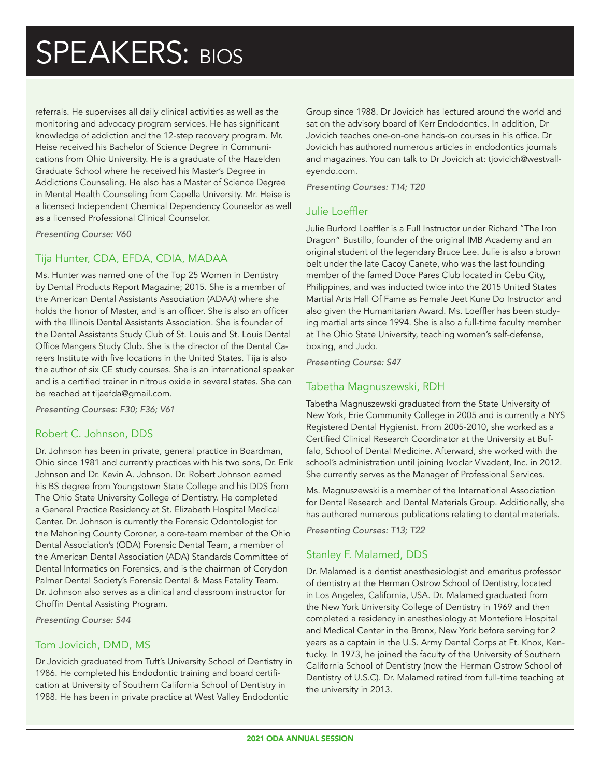referrals. He supervises all daily clinical activities as well as the monitoring and advocacy program services. He has significant knowledge of addiction and the 12-step recovery program. Mr. Heise received his Bachelor of Science Degree in Communications from Ohio University. He is a graduate of the Hazelden Graduate School where he received his Master's Degree in Addictions Counseling. He also has a Master of Science Degree in Mental Health Counseling from Capella University. Mr. Heise is a licensed Independent Chemical Dependency Counselor as well as a licensed Professional Clinical Counselor.

*Presenting Course: V60*

# Tija Hunter, CDA, EFDA, CDIA, MADAA

Ms. Hunter was named one of the Top 25 Women in Dentistry by Dental Products Report Magazine; 2015. She is a member of the American Dental Assistants Association (ADAA) where she holds the honor of Master, and is an officer. She is also an officer with the Illinois Dental Assistants Association. She is founder of the Dental Assistants Study Club of St. Louis and St. Louis Dental Office Mangers Study Club. She is the director of the Dental Careers Institute with five locations in the United States. Tija is also the author of six CE study courses. She is an international speaker and is a certified trainer in nitrous oxide in several states. She can be reached at tijaefda@gmail.com.

*Presenting Courses: F30; F36; V61*

### Robert C. Johnson, DDS

Dr. Johnson has been in private, general practice in Boardman, Ohio since 1981 and currently practices with his two sons, Dr. Erik Johnson and Dr. Kevin A. Johnson. Dr. Robert Johnson earned his BS degree from Youngstown State College and his DDS from The Ohio State University College of Dentistry. He completed a General Practice Residency at St. Elizabeth Hospital Medical Center. Dr. Johnson is currently the Forensic Odontologist for the Mahoning County Coroner, a core-team member of the Ohio Dental Association's (ODA) Forensic Dental Team, a member of the American Dental Association (ADA) Standards Committee of Dental Informatics on Forensics, and is the chairman of Corydon Palmer Dental Society's Forensic Dental & Mass Fatality Team. Dr. Johnson also serves as a clinical and classroom instructor for Choffin Dental Assisting Program.

*Presenting Course: S44*

#### Tom Jovicich, DMD, MS

Dr Jovicich graduated from Tuft's University School of Dentistry in 1986. He completed his Endodontic training and board certification at University of Southern California School of Dentistry in 1988. He has been in private practice at West Valley Endodontic

Group since 1988. Dr Jovicich has lectured around the world and sat on the advisory board of Kerr Endodontics. In addition, Dr Jovicich teaches one-on-one hands-on courses in his office. Dr Jovicich has authored numerous articles in endodontics journals and magazines. You can talk to Dr Jovicich at: tjovicich@westvalleyendo.com.

*Presenting Courses: T14; T20*

### Julie Loeffler

Julie Burford Loeffler is a Full Instructor under Richard "The Iron Dragon" Bustillo, founder of the original IMB Academy and an original student of the legendary Bruce Lee. Julie is also a brown belt under the late Cacoy Canete, who was the last founding member of the famed Doce Pares Club located in Cebu City, Philippines, and was inducted twice into the 2015 United States Martial Arts Hall Of Fame as Female Jeet Kune Do Instructor and also given the Humanitarian Award. Ms. Loeffler has been studying martial arts since 1994. She is also a full-time faculty member at The Ohio State University, teaching women's self-defense, boxing, and Judo.

*Presenting Course: S47*

#### Tabetha Magnuszewski, RDH

Tabetha Magnuszewski graduated from the State University of New York, Erie Community College in 2005 and is currently a NYS Registered Dental Hygienist. From 2005-2010, she worked as a Certified Clinical Research Coordinator at the University at Buffalo, School of Dental Medicine. Afterward, she worked with the school's administration until joining Ivoclar Vivadent, Inc. in 2012. She currently serves as the Manager of Professional Services.

Ms. Magnuszewski is a member of the International Association for Dental Research and Dental Materials Group. Additionally, she has authored numerous publications relating to dental materials.

*Presenting Courses: T13; T22* 

# Stanley F. Malamed, DDS

Dr. Malamed is a dentist anesthesiologist and emeritus professor of dentistry at the Herman Ostrow School of Dentistry, located in Los Angeles, California, USA. Dr. Malamed graduated from the New York University College of Dentistry in 1969 and then completed a residency in anesthesiology at Montefiore Hospital and Medical Center in the Bronx, New York before serving for 2 years as a captain in the U.S. Army Dental Corps at Ft. Knox, Kentucky. In 1973, he joined the faculty of the University of Southern California School of Dentistry (now the Herman Ostrow School of Dentistry of U.S.C). Dr. Malamed retired from full-time teaching at the university in 2013.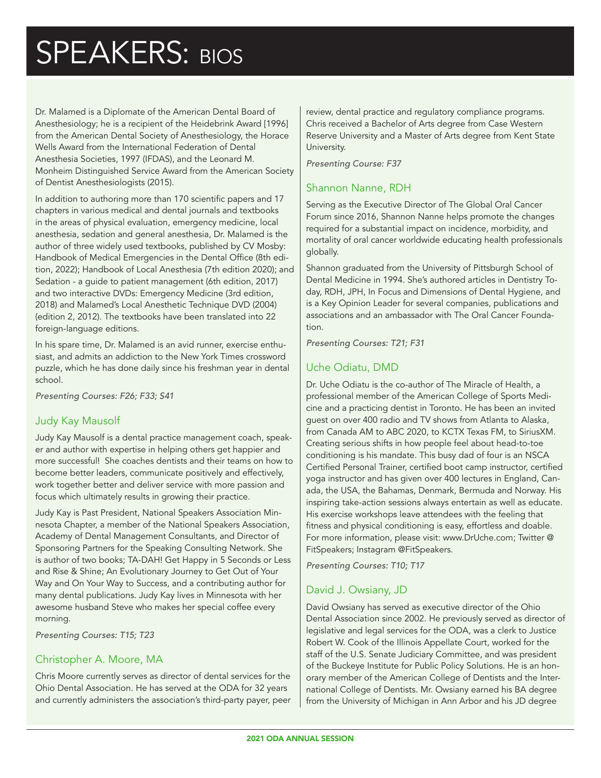Dr. Malamed is a Diplomate of the American Dental Board of Anesthesiology; he is a recipient of the Heidebrink Award [1996] from the American Dental Society of Anesthesiology, the Horace Wells Award from the International Federation of Dental Anesthesia Societies, 1997 (IFDAS), and the Leonard M. Monheim Distinguished Service Award from the American Society of Dentist Anesthesiologists (2015).

In addition to authoring more than 170 scientific papers and 17 chapters in various medical and dental journals and textbooks in the areas of physical evaluation, emergency medicine, local anesthesia, sedation and general anesthesia, Dr. Malamed is the author of three widely used textbooks, published by CV Mosby: Handbook of Medical Emergencies in the Dental Office (8th edition, 2022); Handbook of Local Anesthesia (7th edition 2020); and Sedation - a guide to patient management (6th edition, 2017) and two interactive DVDs: Emergency Medicine (3rd edition, 2018) and Malamed's Local Anesthetic Technique DVD (2004) (edition 2, 2012). The textbooks have been translated into 22 foreign-language editions.

In his spare time, Dr. Malamed is an avid runner, exercise enthusiast, and admits an addiction to the New York Times crossword puzzle, which he has done daily since his freshman year in dental school.

*Presenting Courses: F26; F33; S41*

# Judy Kay Mausolf

Judy Kay Mausolf is a dental practice management coach, speaker and author with expertise in helping others get happier and more successful! She coaches dentists and their teams on how to become better leaders, communicate positively and effectively, work together better and deliver service with more passion and focus which ultimately results in growing their practice.

Judy Kay is Past President, National Speakers Association Minnesota Chapter, a member of the National Speakers Association, Academy of Dental Management Consultants, and Director of Sponsoring Partners for the Speaking Consulting Network. She is author of two books; TA-DAH! Get Happy in 5 Seconds or Less and Rise & Shine; An Evolutionary Journey to Get Out of Your Way and On Your Way to Success, and a contributing author for many dental publications. Judy Kay lives in Minnesota with her awesome husband Steve who makes her special coffee every morning.

*Presenting Courses: T15; T23*

# Christopher A. Moore, MA

Chris Moore currently serves as director of dental services for the Ohio Dental Association. He has served at the ODA for 32 years and currently administers the association's third-party payer, peer review, dental practice and regulatory compliance programs. Chris received a Bachelor of Arts degree from Case Western Reserve University and a Master of Arts degree from Kent State University.

*Presenting Course: F37*

#### Shannon Nanne, RDH

Serving as the Executive Director of The Global Oral Cancer Forum since 2016, Shannon Nanne helps promote the changes required for a substantial impact on incidence, morbidity, and mortality of oral cancer worldwide educating health professionals globally.

Shannon graduated from the University of Pittsburgh School of Dental Medicine in 1994. She's authored articles in Dentistry Today, RDH, JPH, In Focus and Dimensions of Dental Hygiene, and is a Key Opinion Leader for several companies, publications and associations and an ambassador with The Oral Cancer Foundation.

*Presenting Courses: T21; F31*

# Uche Odiatu, DMD

Dr. Uche Odiatu is the co-author of The Miracle of Health, a professional member of the American College of Sports Medicine and a practicing dentist in Toronto. He has been an invited guest on over 400 radio and TV shows from Atlanta to Alaska, from Canada AM to ABC 2020, to KCTX Texas FM, to SiriusXM. Creating serious shifts in how people feel about head-to-toe conditioning is his mandate. This busy dad of four is an NSCA Certified Personal Trainer, certified boot camp instructor, certified yoga instructor and has given over 400 lectures in England, Canada, the USA, the Bahamas, Denmark, Bermuda and Norway. His inspiring take-action sessions always entertain as well as educate. His exercise workshops leave attendees with the feeling that fitness and physical conditioning is easy, effortless and doable. For more information, please visit: www.DrUche.com; Twitter @ FitSpeakers; Instagram @FitSpeakers.

*Presenting Courses: T10; T17*

# David J. Owsiany, JD

David Owsiany has served as executive director of the Ohio Dental Association since 2002. He previously served as director of legislative and legal services for the ODA, was a clerk to Justice Robert W. Cook of the Illinois Appellate Court, worked for the staff of the U.S. Senate Judiciary Committee, and was president of the Buckeye Institute for Public Policy Solutions. He is an honorary member of the American College of Dentists and the International College of Dentists. Mr. Owsiany earned his BA degree from the University of Michigan in Ann Arbor and his JD degree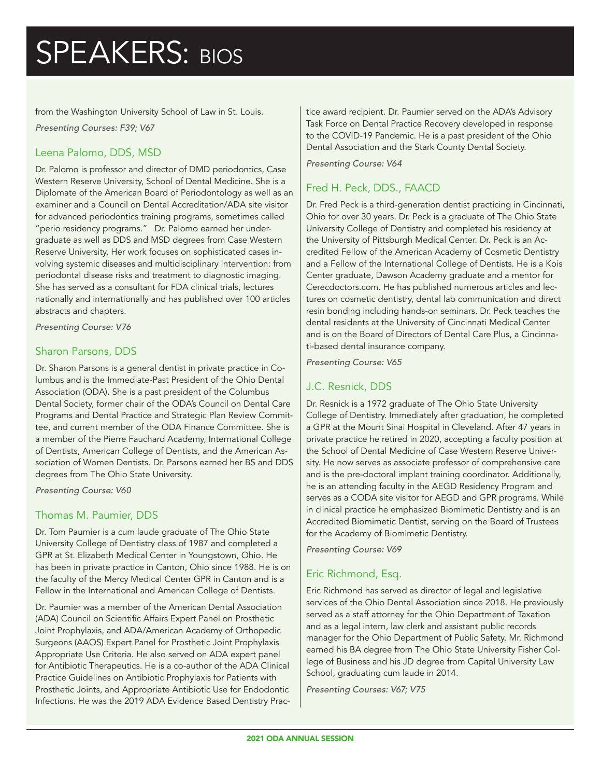from the Washington University School of Law in St. Louis.

*Presenting Courses: F39; V67*

# Leena Palomo, DDS, MSD

Dr. Palomo is professor and director of DMD periodontics, Case Western Reserve University, School of Dental Medicine. She is a Diplomate of the American Board of Periodontology as well as an examiner and a Council on Dental Accreditation/ADA site visitor for advanced periodontics training programs, sometimes called "perio residency programs." Dr. Palomo earned her undergraduate as well as DDS and MSD degrees from Case Western Reserve University. Her work focuses on sophisticated cases involving systemic diseases and multidisciplinary intervention: from periodontal disease risks and treatment to diagnostic imaging. She has served as a consultant for FDA clinical trials, lectures nationally and internationally and has published over 100 articles abstracts and chapters.

*Presenting Course: V76*

# Sharon Parsons, DDS

Dr. Sharon Parsons is a general dentist in private practice in Columbus and is the Immediate-Past President of the Ohio Dental Association (ODA). She is a past president of the Columbus Dental Society, former chair of the ODA's Council on Dental Care Programs and Dental Practice and Strategic Plan Review Committee, and current member of the ODA Finance Committee. She is a member of the Pierre Fauchard Academy, International College of Dentists, American College of Dentists, and the American Association of Women Dentists. Dr. Parsons earned her BS and DDS degrees from The Ohio State University.

*Presenting Course: V60*

### Thomas M. Paumier, DDS

Dr. Tom Paumier is a cum laude graduate of The Ohio State University College of Dentistry class of 1987 and completed a GPR at St. Elizabeth Medical Center in Youngstown, Ohio. He has been in private practice in Canton, Ohio since 1988. He is on the faculty of the Mercy Medical Center GPR in Canton and is a Fellow in the International and American College of Dentists.

Dr. Paumier was a member of the American Dental Association (ADA) Council on Scientific Affairs Expert Panel on Prosthetic Joint Prophylaxis, and ADA/American Academy of Orthopedic Surgeons (AAOS) Expert Panel for Prosthetic Joint Prophylaxis Appropriate Use Criteria. He also served on ADA expert panel for Antibiotic Therapeutics. He is a co-author of the ADA Clinical Practice Guidelines on Antibiotic Prophylaxis for Patients with Prosthetic Joints, and Appropriate Antibiotic Use for Endodontic Infections. He was the 2019 ADA Evidence Based Dentistry Practice award recipient. Dr. Paumier served on the ADA's Advisory Task Force on Dental Practice Recovery developed in response to the COVID-19 Pandemic. He is a past president of the Ohio Dental Association and the Stark County Dental Society.

*Presenting Course: V64*

### Fred H. Peck, DDS., FAACD

Dr. Fred Peck is a third-generation dentist practicing in Cincinnati, Ohio for over 30 years. Dr. Peck is a graduate of The Ohio State University College of Dentistry and completed his residency at the University of Pittsburgh Medical Center. Dr. Peck is an Accredited Fellow of the American Academy of Cosmetic Dentistry and a Fellow of the International College of Dentists. He is a Kois Center graduate, Dawson Academy graduate and a mentor for Cerecdoctors.com. He has published numerous articles and lectures on cosmetic dentistry, dental lab communication and direct resin bonding including hands-on seminars. Dr. Peck teaches the dental residents at the University of Cincinnati Medical Center and is on the Board of Directors of Dental Care Plus, a Cincinnati-based dental insurance company.

*Presenting Course: V65*

# J.C. Resnick, DDS

Dr. Resnick is a 1972 graduate of The Ohio State University College of Dentistry. Immediately after graduation, he completed a GPR at the Mount Sinai Hospital in Cleveland. After 47 years in private practice he retired in 2020, accepting a faculty position at the School of Dental Medicine of Case Western Reserve University. He now serves as associate professor of comprehensive care and is the pre-doctoral implant training coordinator. Additionally, he is an attending faculty in the AEGD Residency Program and serves as a CODA site visitor for AEGD and GPR programs. While in clinical practice he emphasized Biomimetic Dentistry and is an Accredited Biomimetic Dentist, serving on the Board of Trustees for the Academy of Biomimetic Dentistry.

*Presenting Course: V69*

# Eric Richmond, Esq.

Eric Richmond has served as director of legal and legislative services of the Ohio Dental Association since 2018. He previously served as a staff attorney for the Ohio Department of Taxation and as a legal intern, law clerk and assistant public records manager for the Ohio Department of Public Safety. Mr. Richmond earned his BA degree from The Ohio State University Fisher College of Business and his JD degree from Capital University Law School, graduating cum laude in 2014.

*Presenting Courses: V67; V75*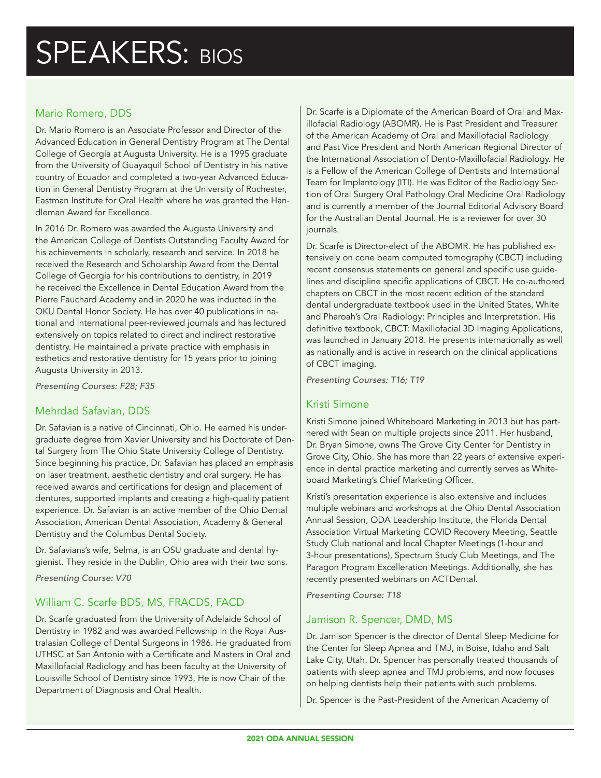# Mario Romero, DDS

Dr. Mario Romero is an Associate Professor and Director of the Advanced Education in General Dentistry Program at The Dental College of Georgia at Augusta University. He is a 1995 graduate from the University of Guayaquil School of Dentistry in his native country of Ecuador and completed a two-year Advanced Education in General Dentistry Program at the University of Rochester, Eastman Institute for Oral Health where he was granted the Handleman Award for Excellence.

In 2016 Dr. Romero was awarded the Augusta University and the American College of Dentists Outstanding Faculty Award for his achievements in scholarly, research and service. In 2018 he received the Research and Scholarship Award from the Dental College of Georgia for his contributions to dentistry, in 2019 he received the Excellence in Dental Education Award from the Pierre Fauchard Academy and in 2020 he was inducted in the OKU Dental Honor Society. He has over 40 publications in national and international peer-reviewed journals and has lectured extensively on topics related to direct and indirect restorative dentistry. He maintained a private practice with emphasis in esthetics and restorative dentistry for 15 years prior to joining Augusta University in 2013.

*Presenting Courses: F28; F35*

### Mehrdad Safavian, DDS

Dr. Safavian is a native of Cincinnati, Ohio. He earned his undergraduate degree from Xavier University and his Doctorate of Dental Surgery from The Ohio State University College of Dentistry. Since beginning his practice, Dr. Safavian has placed an emphasis on laser treatment, aesthetic dentistry and oral surgery. He has received awards and certifications for design and placement of dentures, supported implants and creating a high-quality patient experience. Dr. Safavian is an active member of the Ohio Dental Association, American Dental Association, Academy & General Dentistry and the Columbus Dental Society.

Dr. Safavians's wife, Selma, is an OSU graduate and dental hygienist. They reside in the Dublin, Ohio area with their two sons.

*Presenting Course: V70*

# William C. Scarfe BDS, MS, FRACDS, FACD

Dr. Scarfe graduated from the University of Adelaide School of Dentistry in 1982 and was awarded Fellowship in the Royal Australasian College of Dental Surgeons in 1986. He graduated from UTHSC at San Antonio with a Certificate and Masters in Oral and Maxillofacial Radiology and has been faculty at the University of Louisville School of Dentistry since 1993, He is now Chair of the Department of Diagnosis and Oral Health.

Dr. Scarfe is a Diplomate of the American Board of Oral and Maxillofacial Radiology (ABOMR). He is Past President and Treasurer of the American Academy of Oral and Maxillofacial Radiology and Past Vice President and North American Regional Director of the International Association of Dento-Maxillofacial Radiology. He is a Fellow of the American College of Dentists and International Team for Implantology (ITI). He was Editor of the Radiology Section of Oral Surgery Oral Pathology Oral Medicine Oral Radiology and is currently a member of the Journal Editorial Advisory Board for the Australian Dental Journal. He is a reviewer for over 30 journals.

Dr. Scarfe is Director-elect of the ABOMR. He has published extensively on cone beam computed tomography (CBCT) including recent consensus statements on general and specific use guidelines and discipline specific applications of CBCT. He co-authored chapters on CBCT in the most recent edition of the standard dental undergraduate textbook used in the United States, White and Pharoah's Oral Radiology: Principles and Interpretation. His definitive textbook, CBCT: Maxillofacial 3D Imaging Applications, was launched in January 2018. He presents internationally as well as nationally and is active in research on the clinical applications of CBCT imaging.

*Presenting Courses: T16; T19*

### Kristi Simone

Kristi Simone joined Whiteboard Marketing in 2013 but has partnered with Sean on multiple projects since 2011. Her husband, Dr. Bryan Simone, owns The Grove City Center for Dentistry in Grove City, Ohio. She has more than 22 years of extensive experience in dental practice marketing and currently serves as Whiteboard Marketing's Chief Marketing Officer.

Kristi's presentation experience is also extensive and includes multiple webinars and workshops at the Ohio Dental Association Annual Session, ODA Leadership Institute, the Florida Dental Association Virtual Marketing COVID Recovery Meeting, Seattle Study Club national and local Chapter Meetings (1-hour and 3-hour presentations), Spectrum Study Club Meetings, and The Paragon Program Excelleration Meetings. Additionally, she has recently presented webinars on ACTDental.

*Presenting Course: T18*

### Jamison R. Spencer, DMD, MS

Dr. Jamison Spencer is the director of Dental Sleep Medicine for the Center for Sleep Apnea and TMJ, in Boise, Idaho and Salt Lake City, Utah. Dr. Spencer has personally treated thousands of patients with sleep apnea and TMJ problems, and now focuses on helping dentists help their patients with such problems.

Dr. Spencer is the Past-President of the American Academy of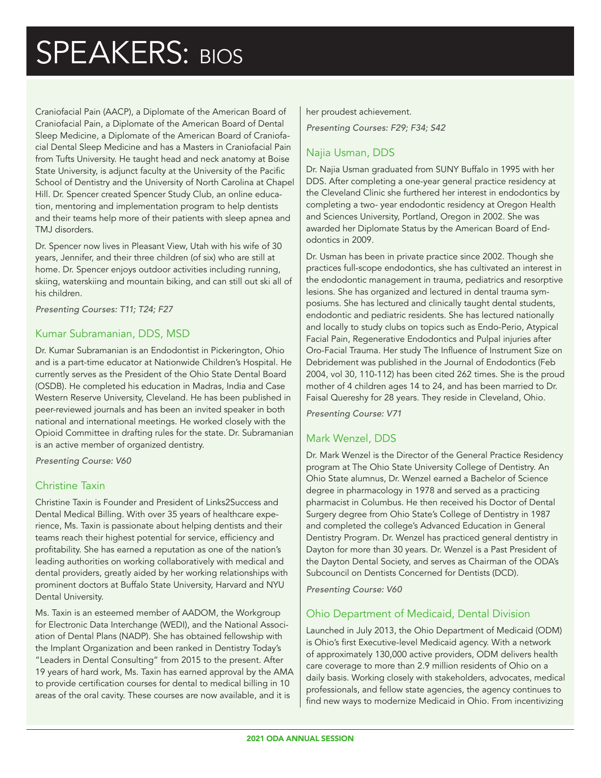Craniofacial Pain (AACP), a Diplomate of the American Board of Craniofacial Pain, a Diplomate of the American Board of Dental Sleep Medicine, a Diplomate of the American Board of Craniofacial Dental Sleep Medicine and has a Masters in Craniofacial Pain from Tufts University. He taught head and neck anatomy at Boise State University, is adjunct faculty at the University of the Pacific School of Dentistry and the University of North Carolina at Chapel Hill. Dr. Spencer created Spencer Study Club, an online education, mentoring and implementation program to help dentists and their teams help more of their patients with sleep apnea and TMJ disorders.

Dr. Spencer now lives in Pleasant View, Utah with his wife of 30 years, Jennifer, and their three children (of six) who are still at home. Dr. Spencer enjoys outdoor activities including running, skiing, waterskiing and mountain biking, and can still out ski all of his children.

*Presenting Courses: T11; T24; F27*

#### Kumar Subramanian, DDS, MSD

Dr. Kumar Subramanian is an Endodontist in Pickerington, Ohio and is a part-time educator at Nationwide Children's Hospital. He currently serves as the President of the Ohio State Dental Board (OSDB). He completed his education in Madras, India and Case Western Reserve University, Cleveland. He has been published in peer-reviewed journals and has been an invited speaker in both national and international meetings. He worked closely with the Opioid Committee in drafting rules for the state. Dr. Subramanian is an active member of organized dentistry.

*Presenting Course: V60*

### Christine Taxin

Christine Taxin is Founder and President of Links2Success and Dental Medical Billing. With over 35 years of healthcare experience, Ms. Taxin is passionate about helping dentists and their teams reach their highest potential for service, efficiency and profitability. She has earned a reputation as one of the nation's leading authorities on working collaboratively with medical and dental providers, greatly aided by her working relationships with prominent doctors at Buffalo State University, Harvard and NYU Dental University.

Ms. Taxin is an esteemed member of AADOM, the Workgroup for Electronic Data Interchange (WEDI), and the National Association of Dental Plans (NADP). She has obtained fellowship with the Implant Organization and been ranked in Dentistry Today's "Leaders in Dental Consulting" from 2015 to the present. After 19 years of hard work, Ms. Taxin has earned approval by the AMA to provide certification courses for dental to medical billing in 10 areas of the oral cavity. These courses are now available, and it is

#### her proudest achievement.

*Presenting Courses: F29; F34; S42*

# Najia Usman, DDS

Dr. Najia Usman graduated from SUNY Buffalo in 1995 with her DDS. After completing a one-year general practice residency at the Cleveland Clinic she furthered her interest in endodontics by completing a two- year endodontic residency at Oregon Health and Sciences University, Portland, Oregon in 2002. She was awarded her Diplomate Status by the American Board of Endodontics in 2009.

Dr. Usman has been in private practice since 2002. Though she practices full-scope endodontics, she has cultivated an interest in the endodontic management in trauma, pediatrics and resorptive lesions. She has organized and lectured in dental trauma symposiums. She has lectured and clinically taught dental students, endodontic and pediatric residents. She has lectured nationally and locally to study clubs on topics such as Endo-Perio, Atypical Facial Pain, Regenerative Endodontics and Pulpal injuries after Oro-Facial Trauma. Her study The Influence of Instrument Size on Debridement was published in the Journal of Endodontics (Feb 2004, vol 30, 110-112) has been cited 262 times. She is the proud mother of 4 children ages 14 to 24, and has been married to Dr. Faisal Quereshy for 28 years. They reside in Cleveland, Ohio.

*Presenting Course: V71*

### Mark Wenzel, DDS

Dr. Mark Wenzel is the Director of the General Practice Residency program at The Ohio State University College of Dentistry. An Ohio State alumnus, Dr. Wenzel earned a Bachelor of Science degree in pharmacology in 1978 and served as a practicing pharmacist in Columbus. He then received his Doctor of Dental Surgery degree from Ohio State's College of Dentistry in 1987 and completed the college's Advanced Education in General Dentistry Program. Dr. Wenzel has practiced general dentistry in Dayton for more than 30 years. Dr. Wenzel is a Past President of the Dayton Dental Society, and serves as Chairman of the ODA's Subcouncil on Dentists Concerned for Dentists (DCD).

*Presenting Course: V60*

### Ohio Department of Medicaid, Dental Division

Launched in July 2013, the Ohio Department of Medicaid (ODM) is Ohio's first Executive-level Medicaid agency. With a network of approximately 130,000 active providers, ODM delivers health care coverage to more than 2.9 million residents of Ohio on a daily basis. Working closely with stakeholders, advocates, medical professionals, and fellow state agencies, the agency continues to find new ways to modernize Medicaid in Ohio. From incentivizing